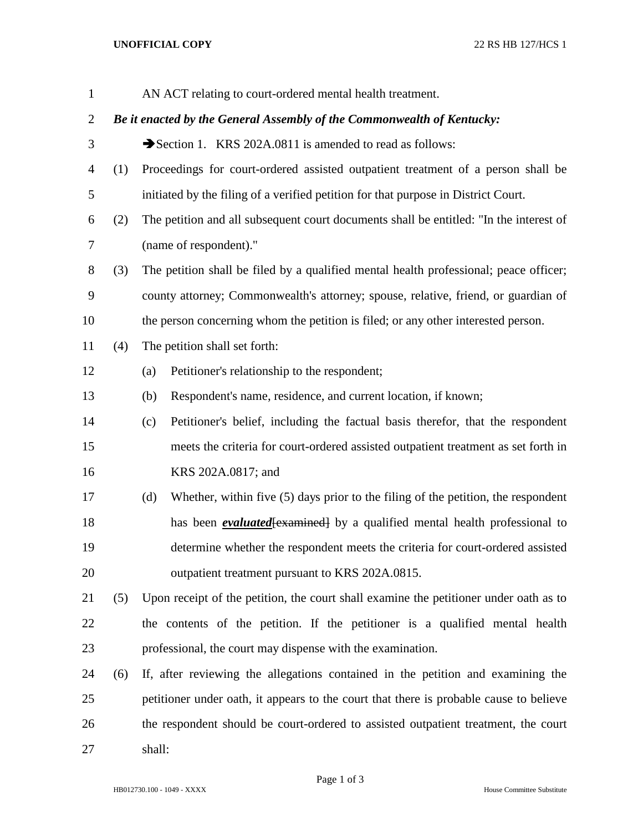## **UNOFFICIAL COPY** 22 RS HB 127/HCS 1

| $\mathbf{1}$   |     |                                                                                        | AN ACT relating to court-ordered mental health treatment.                              |  |  |  |
|----------------|-----|----------------------------------------------------------------------------------------|----------------------------------------------------------------------------------------|--|--|--|
| $\overline{2}$ |     | Be it enacted by the General Assembly of the Commonwealth of Kentucky:                 |                                                                                        |  |  |  |
| 3              |     |                                                                                        | Section 1. KRS 202A.0811 is amended to read as follows:                                |  |  |  |
| 4              | (1) |                                                                                        | Proceedings for court-ordered assisted outpatient treatment of a person shall be       |  |  |  |
| 5              |     |                                                                                        | initiated by the filing of a verified petition for that purpose in District Court.     |  |  |  |
| 6              | (2) | The petition and all subsequent court documents shall be entitled: "In the interest of |                                                                                        |  |  |  |
| 7              |     |                                                                                        | (name of respondent)."                                                                 |  |  |  |
| 8              | (3) | The petition shall be filed by a qualified mental health professional; peace officer;  |                                                                                        |  |  |  |
| 9              |     |                                                                                        | county attorney; Commonwealth's attorney; spouse, relative, friend, or guardian of     |  |  |  |
| 10             |     | the person concerning whom the petition is filed; or any other interested person.      |                                                                                        |  |  |  |
| 11             | (4) | The petition shall set forth:                                                          |                                                                                        |  |  |  |
| 12             |     | (a)                                                                                    | Petitioner's relationship to the respondent;                                           |  |  |  |
| 13             |     | (b)                                                                                    | Respondent's name, residence, and current location, if known;                          |  |  |  |
| 14             |     | (c)                                                                                    | Petitioner's belief, including the factual basis therefor, that the respondent         |  |  |  |
| 15             |     |                                                                                        | meets the criteria for court-ordered assisted outpatient treatment as set forth in     |  |  |  |
| 16             |     |                                                                                        | KRS 202A.0817; and                                                                     |  |  |  |
| 17             |     | (d)                                                                                    | Whether, within five (5) days prior to the filing of the petition, the respondent      |  |  |  |
| 18             |     |                                                                                        | has been <i>evaluated</i> [examined] by a qualified mental health professional to      |  |  |  |
| 19             |     |                                                                                        | determine whether the respondent meets the criteria for court-ordered assisted         |  |  |  |
| 20             |     |                                                                                        | outpatient treatment pursuant to KRS 202A.0815.                                        |  |  |  |
| 21             | (5) |                                                                                        | Upon receipt of the petition, the court shall examine the petitioner under oath as to  |  |  |  |
| 22             |     |                                                                                        | the contents of the petition. If the petitioner is a qualified mental health           |  |  |  |
| 23             |     |                                                                                        | professional, the court may dispense with the examination.                             |  |  |  |
| 24             | (6) |                                                                                        | If, after reviewing the allegations contained in the petition and examining the        |  |  |  |
| 25             |     |                                                                                        | petitioner under oath, it appears to the court that there is probable cause to believe |  |  |  |
| 26             |     |                                                                                        | the respondent should be court-ordered to assisted outpatient treatment, the court     |  |  |  |
| 27             |     | shall:                                                                                 |                                                                                        |  |  |  |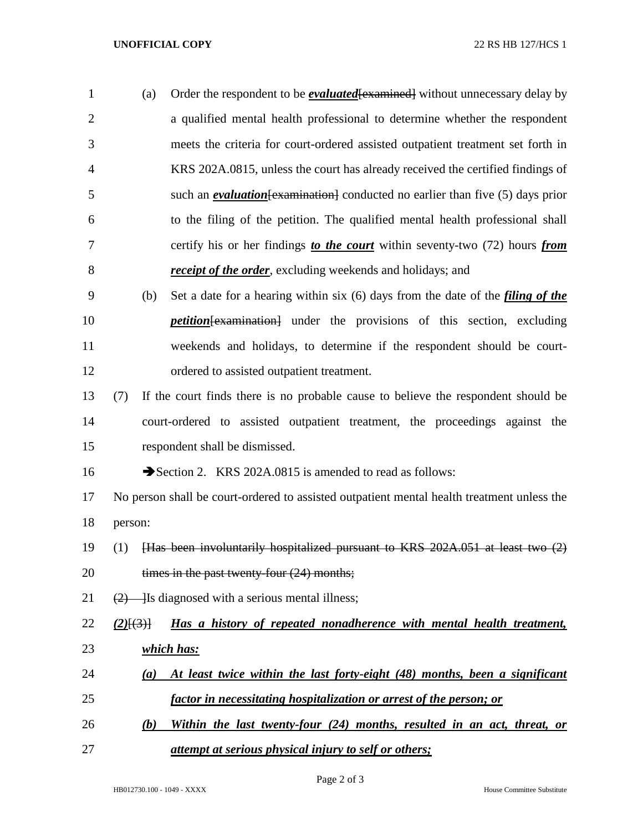## **UNOFFICIAL COPY** 22 RS HB 127/HCS 1

| $\mathbf{1}$   | (a) | Order the respondent to be <i>evaluated</i> [examined] without unnecessary delay by     |
|----------------|-----|-----------------------------------------------------------------------------------------|
| 2              |     | a qualified mental health professional to determine whether the respondent              |
| 3              |     | meets the criteria for court-ordered assisted outpatient treatment set forth in         |
| $\overline{4}$ |     | KRS 202A.0815, unless the court has already received the certified findings of          |
| 5              |     | such an <i>evaluation</i> [examination] conducted no earlier than five $(5)$ days prior |
| 6              |     | to the filing of the petition. The qualified mental health professional shall           |
| 7              |     | certify his or her findings to the court within seventy-two (72) hours from             |
| 8              |     | <b>receipt of the order</b> , excluding weekends and holidays; and                      |
|                |     |                                                                                         |

- (b) Set a date for a hearing within six (6) days from the date of the *filing of the petition*[examination] under the provisions of this section, excluding weekends and holidays, to determine if the respondent should be court-ordered to assisted outpatient treatment.
- (7) If the court finds there is no probable cause to believe the respondent should be court-ordered to assisted outpatient treatment, the proceedings against the respondent shall be dismissed.

16  $\rightarrow$  Section 2. KRS 202A.0815 is amended to read as follows:

 No person shall be court-ordered to assisted outpatient mental health treatment unless the person:

- (1) [Has been involuntarily hospitalized pursuant to KRS 202A.051 at least two (2) 20 times in the past twenty-four (24) months;
- 21  $(2)$  Is diagnosed with a serious mental illness;
- *(2)*[(3)] *Has a history of repeated nonadherence with mental health treatment, which has:*
- *(a) At least twice within the last forty-eight (48) months, been a significant factor in necessitating hospitalization or arrest of the person; or*
- *(b) Within the last twenty-four (24) months, resulted in an act, threat, or attempt at serious physical injury to self or others;*